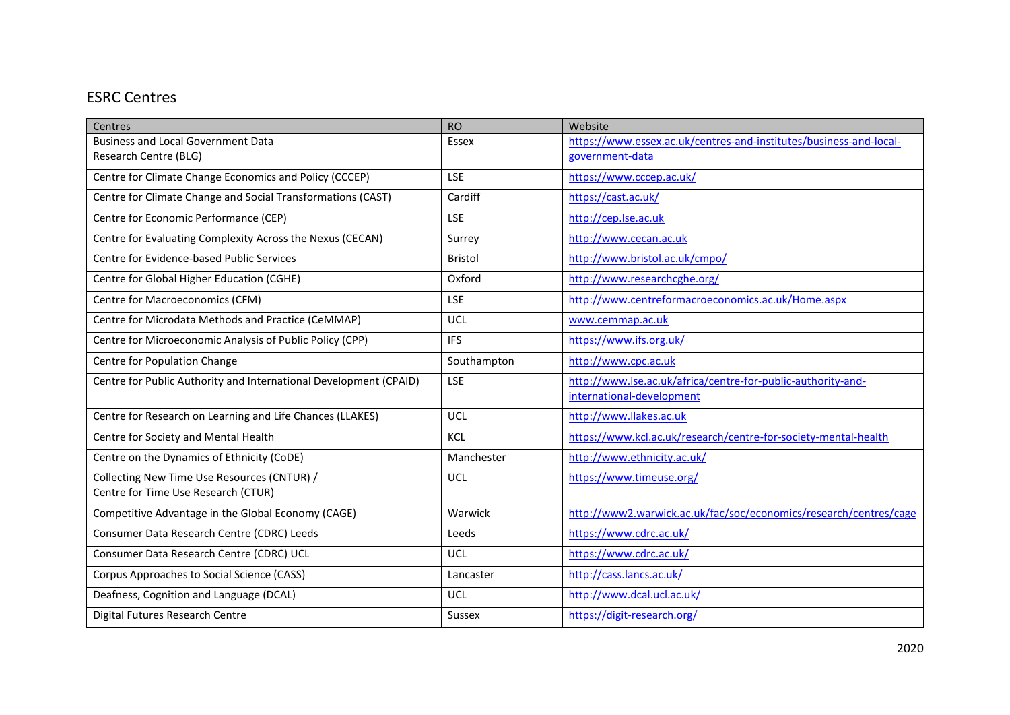## ESRC Centres

| Centres                                                           | <b>RO</b>      | Website                                                            |
|-------------------------------------------------------------------|----------------|--------------------------------------------------------------------|
| <b>Business and Local Government Data</b>                         | Essex          | https://www.essex.ac.uk/centres-and-institutes/business-and-local- |
| Research Centre (BLG)                                             |                | government-data                                                    |
| Centre for Climate Change Economics and Policy (CCCEP)            | LSE            | https://www.cccep.ac.uk/                                           |
| Centre for Climate Change and Social Transformations (CAST)       | Cardiff        | https://cast.ac.uk/                                                |
| Centre for Economic Performance (CEP)                             | <b>LSE</b>     | http://cep.lse.ac.uk                                               |
| Centre for Evaluating Complexity Across the Nexus (CECAN)         | Surrey         | http://www.cecan.ac.uk                                             |
| Centre for Evidence-based Public Services                         | <b>Bristol</b> | http://www.bristol.ac.uk/cmpo/                                     |
| Centre for Global Higher Education (CGHE)                         | Oxford         | http://www.researchcghe.org/                                       |
| Centre for Macroeconomics (CFM)                                   | <b>LSE</b>     | http://www.centreformacroeconomics.ac.uk/Home.aspx                 |
| Centre for Microdata Methods and Practice (CeMMAP)                | UCL            | www.cemmap.ac.uk                                                   |
| Centre for Microeconomic Analysis of Public Policy (CPP)          | <b>IFS</b>     | https://www.ifs.org.uk/                                            |
| Centre for Population Change                                      | Southampton    | http://www.cpc.ac.uk                                               |
| Centre for Public Authority and International Development (CPAID) | <b>LSE</b>     | http://www.lse.ac.uk/africa/centre-for-public-authority-and-       |
|                                                                   |                | international-development                                          |
| Centre for Research on Learning and Life Chances (LLAKES)         | UCL            | http://www.llakes.ac.uk                                            |
| Centre for Society and Mental Health                              | KCL            | https://www.kcl.ac.uk/research/centre-for-society-mental-health    |
| Centre on the Dynamics of Ethnicity (CoDE)                        | Manchester     | http://www.ethnicity.ac.uk/                                        |
| Collecting New Time Use Resources (CNTUR) /                       | UCL            | https://www.timeuse.org/                                           |
| Centre for Time Use Research (CTUR)                               |                |                                                                    |
| Competitive Advantage in the Global Economy (CAGE)                | Warwick        | http://www2.warwick.ac.uk/fac/soc/economics/research/centres/cage  |
| Consumer Data Research Centre (CDRC) Leeds                        | Leeds          | https://www.cdrc.ac.uk/                                            |
| Consumer Data Research Centre (CDRC) UCL                          | <b>UCL</b>     | https://www.cdrc.ac.uk/                                            |
| Corpus Approaches to Social Science (CASS)                        | Lancaster      | http://cass.lancs.ac.uk/                                           |
| Deafness, Cognition and Language (DCAL)                           | <b>UCL</b>     | http://www.dcal.ucl.ac.uk/                                         |
| Digital Futures Research Centre                                   | <b>Sussex</b>  | https://digit-research.org/                                        |